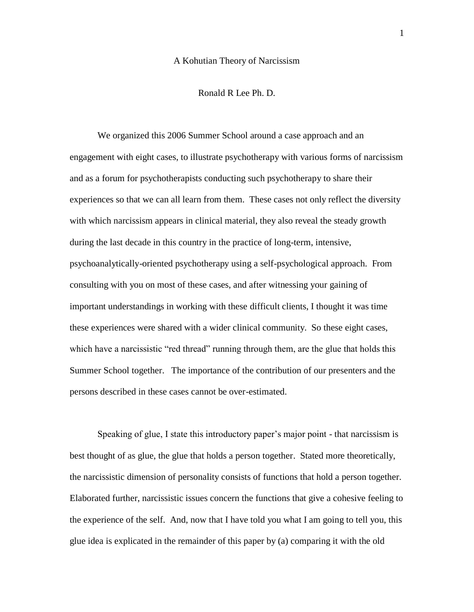#### A Kohutian Theory of Narcissism

## Ronald R Lee Ph. D.

We organized this 2006 Summer School around a case approach and an engagement with eight cases, to illustrate psychotherapy with various forms of narcissism and as a forum for psychotherapists conducting such psychotherapy to share their experiences so that we can all learn from them. These cases not only reflect the diversity with which narcissism appears in clinical material, they also reveal the steady growth during the last decade in this country in the practice of long-term, intensive, psychoanalytically-oriented psychotherapy using a self-psychological approach. From consulting with you on most of these cases, and after witnessing your gaining of important understandings in working with these difficult clients, I thought it was time these experiences were shared with a wider clinical community. So these eight cases, which have a narcissistic "red thread" running through them, are the glue that holds this Summer School together. The importance of the contribution of our presenters and the persons described in these cases cannot be over-estimated.

Speaking of glue, I state this introductory paper's major point - that narcissism is best thought of as glue, the glue that holds a person together. Stated more theoretically, the narcissistic dimension of personality consists of functions that hold a person together. Elaborated further, narcissistic issues concern the functions that give a cohesive feeling to the experience of the self. And, now that I have told you what I am going to tell you, this glue idea is explicated in the remainder of this paper by (a) comparing it with the old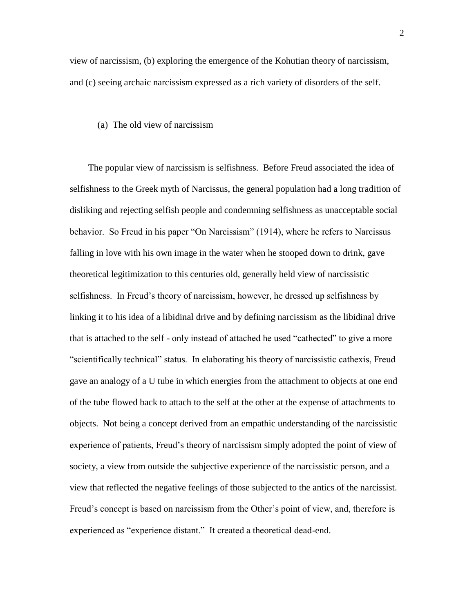view of narcissism, (b) exploring the emergence of the Kohutian theory of narcissism, and (c) seeing archaic narcissism expressed as a rich variety of disorders of the self.

(a) The old view of narcissism

 The popular view of narcissism is selfishness. Before Freud associated the idea of selfishness to the Greek myth of Narcissus, the general population had a long tradition of disliking and rejecting selfish people and condemning selfishness as unacceptable social behavior. So Freud in his paper "On Narcissism" (1914), where he refers to Narcissus falling in love with his own image in the water when he stooped down to drink, gave theoretical legitimization to this centuries old, generally held view of narcissistic selfishness. In Freud's theory of narcissism, however, he dressed up selfishness by linking it to his idea of a libidinal drive and by defining narcissism as the libidinal drive that is attached to the self - only instead of attached he used "cathected" to give a more "scientifically technical" status. In elaborating his theory of narcissistic cathexis, Freud gave an analogy of a U tube in which energies from the attachment to objects at one end of the tube flowed back to attach to the self at the other at the expense of attachments to objects. Not being a concept derived from an empathic understanding of the narcissistic experience of patients, Freud's theory of narcissism simply adopted the point of view of society, a view from outside the subjective experience of the narcissistic person, and a view that reflected the negative feelings of those subjected to the antics of the narcissist. Freud's concept is based on narcissism from the Other's point of view, and, therefore is experienced as "experience distant." It created a theoretical dead-end.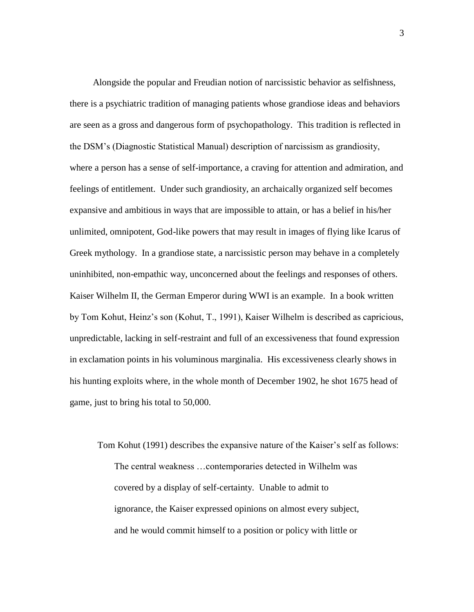Alongside the popular and Freudian notion of narcissistic behavior as selfishness, there is a psychiatric tradition of managing patients whose grandiose ideas and behaviors are seen as a gross and dangerous form of psychopathology. This tradition is reflected in the DSM's (Diagnostic Statistical Manual) description of narcissism as grandiosity, where a person has a sense of self-importance, a craving for attention and admiration, and feelings of entitlement. Under such grandiosity, an archaically organized self becomes expansive and ambitious in ways that are impossible to attain, or has a belief in his/her unlimited, omnipotent, God-like powers that may result in images of flying like Icarus of Greek mythology. In a grandiose state, a narcissistic person may behave in a completely uninhibited, non-empathic way, unconcerned about the feelings and responses of others. Kaiser Wilhelm II, the German Emperor during WWI is an example. In a book written by Tom Kohut, Heinz's son (Kohut, T., 1991), Kaiser Wilhelm is described as capricious, unpredictable, lacking in self-restraint and full of an excessiveness that found expression in exclamation points in his voluminous marginalia. His excessiveness clearly shows in his hunting exploits where, in the whole month of December 1902, he shot 1675 head of game, just to bring his total to 50,000.

Tom Kohut (1991) describes the expansive nature of the Kaiser's self as follows: The central weakness …contemporaries detected in Wilhelm was covered by a display of self-certainty. Unable to admit to ignorance, the Kaiser expressed opinions on almost every subject, and he would commit himself to a position or policy with little or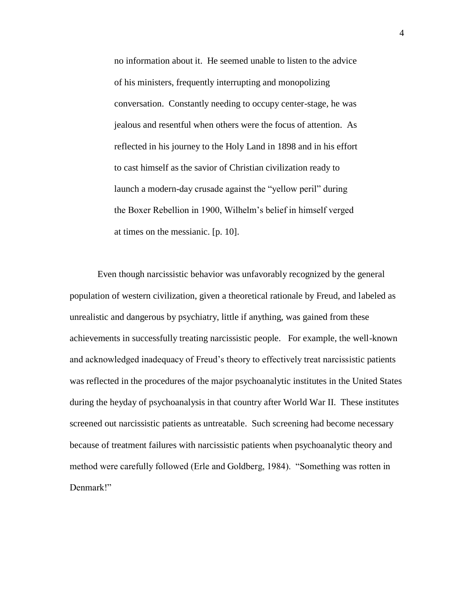no information about it. He seemed unable to listen to the advice of his ministers, frequently interrupting and monopolizing conversation. Constantly needing to occupy center-stage, he was jealous and resentful when others were the focus of attention. As reflected in his journey to the Holy Land in 1898 and in his effort to cast himself as the savior of Christian civilization ready to launch a modern-day crusade against the "yellow peril" during the Boxer Rebellion in 1900, Wilhelm's belief in himself verged at times on the messianic. [p. 10].

Even though narcissistic behavior was unfavorably recognized by the general population of western civilization, given a theoretical rationale by Freud, and labeled as unrealistic and dangerous by psychiatry, little if anything, was gained from these achievements in successfully treating narcissistic people. For example, the well-known and acknowledged inadequacy of Freud's theory to effectively treat narcissistic patients was reflected in the procedures of the major psychoanalytic institutes in the United States during the heyday of psychoanalysis in that country after World War II. These institutes screened out narcissistic patients as untreatable. Such screening had become necessary because of treatment failures with narcissistic patients when psychoanalytic theory and method were carefully followed (Erle and Goldberg, 1984). "Something was rotten in Denmark!"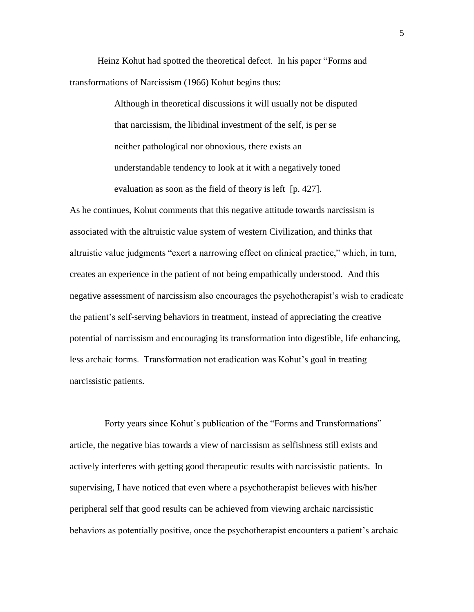Heinz Kohut had spotted the theoretical defect. In his paper "Forms and transformations of Narcissism (1966) Kohut begins thus:

> Although in theoretical discussions it will usually not be disputed that narcissism, the libidinal investment of the self, is per se neither pathological nor obnoxious, there exists an understandable tendency to look at it with a negatively toned evaluation as soon as the field of theory is left [p. 427].

As he continues, Kohut comments that this negative attitude towards narcissism is associated with the altruistic value system of western Civilization, and thinks that altruistic value judgments "exert a narrowing effect on clinical practice," which, in turn, creates an experience in the patient of not being empathically understood. And this negative assessment of narcissism also encourages the psychotherapist's wish to eradicate the patient's self-serving behaviors in treatment, instead of appreciating the creative potential of narcissism and encouraging its transformation into digestible, life enhancing, less archaic forms. Transformation not eradication was Kohut's goal in treating narcissistic patients.

 Forty years since Kohut's publication of the "Forms and Transformations" article, the negative bias towards a view of narcissism as selfishness still exists and actively interferes with getting good therapeutic results with narcissistic patients. In supervising, I have noticed that even where a psychotherapist believes with his/her peripheral self that good results can be achieved from viewing archaic narcissistic behaviors as potentially positive, once the psychotherapist encounters a patient's archaic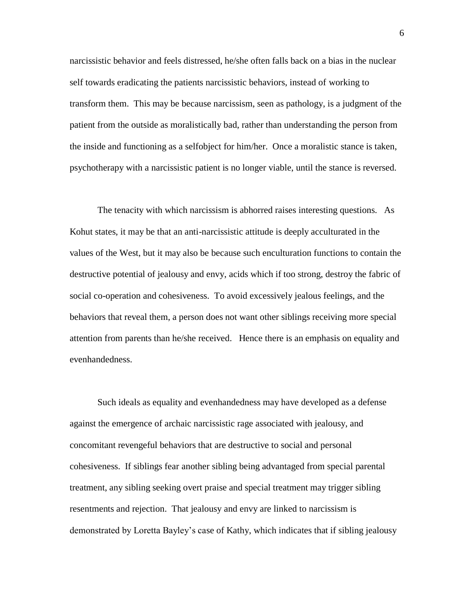narcissistic behavior and feels distressed, he/she often falls back on a bias in the nuclear self towards eradicating the patients narcissistic behaviors, instead of working to transform them. This may be because narcissism, seen as pathology, is a judgment of the patient from the outside as moralistically bad, rather than understanding the person from the inside and functioning as a selfobject for him/her. Once a moralistic stance is taken, psychotherapy with a narcissistic patient is no longer viable, until the stance is reversed.

The tenacity with which narcissism is abhorred raises interesting questions. As Kohut states, it may be that an anti-narcissistic attitude is deeply acculturated in the values of the West, but it may also be because such enculturation functions to contain the destructive potential of jealousy and envy, acids which if too strong, destroy the fabric of social co-operation and cohesiveness. To avoid excessively jealous feelings, and the behaviors that reveal them, a person does not want other siblings receiving more special attention from parents than he/she received. Hence there is an emphasis on equality and evenhandedness.

Such ideals as equality and evenhandedness may have developed as a defense against the emergence of archaic narcissistic rage associated with jealousy, and concomitant revengeful behaviors that are destructive to social and personal cohesiveness. If siblings fear another sibling being advantaged from special parental treatment, any sibling seeking overt praise and special treatment may trigger sibling resentments and rejection. That jealousy and envy are linked to narcissism is demonstrated by Loretta Bayley's case of Kathy, which indicates that if sibling jealousy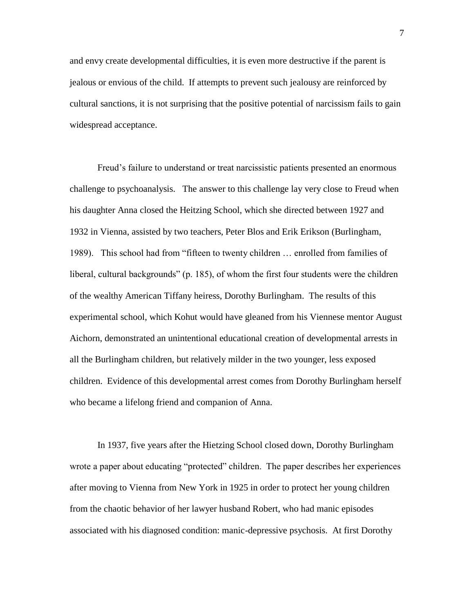and envy create developmental difficulties, it is even more destructive if the parent is jealous or envious of the child. If attempts to prevent such jealousy are reinforced by cultural sanctions, it is not surprising that the positive potential of narcissism fails to gain widespread acceptance.

Freud's failure to understand or treat narcissistic patients presented an enormous challenge to psychoanalysis. The answer to this challenge lay very close to Freud when his daughter Anna closed the Heitzing School, which she directed between 1927 and 1932 in Vienna, assisted by two teachers, Peter Blos and Erik Erikson (Burlingham, 1989). This school had from "fifteen to twenty children … enrolled from families of liberal, cultural backgrounds" (p. 185), of whom the first four students were the children of the wealthy American Tiffany heiress, Dorothy Burlingham. The results of this experimental school, which Kohut would have gleaned from his Viennese mentor August Aichorn, demonstrated an unintentional educational creation of developmental arrests in all the Burlingham children, but relatively milder in the two younger, less exposed children. Evidence of this developmental arrest comes from Dorothy Burlingham herself who became a lifelong friend and companion of Anna.

In 1937, five years after the Hietzing School closed down, Dorothy Burlingham wrote a paper about educating "protected" children. The paper describes her experiences after moving to Vienna from New York in 1925 in order to protect her young children from the chaotic behavior of her lawyer husband Robert, who had manic episodes associated with his diagnosed condition: manic-depressive psychosis. At first Dorothy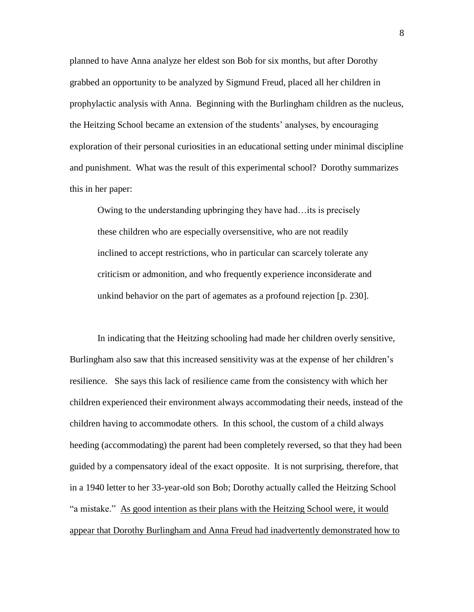planned to have Anna analyze her eldest son Bob for six months, but after Dorothy grabbed an opportunity to be analyzed by Sigmund Freud, placed all her children in prophylactic analysis with Anna. Beginning with the Burlingham children as the nucleus, the Heitzing School became an extension of the students' analyses, by encouraging exploration of their personal curiosities in an educational setting under minimal discipline and punishment. What was the result of this experimental school? Dorothy summarizes this in her paper:

Owing to the understanding upbringing they have had…its is precisely these children who are especially oversensitive, who are not readily inclined to accept restrictions, who in particular can scarcely tolerate any criticism or admonition, and who frequently experience inconsiderate and unkind behavior on the part of agemates as a profound rejection [p. 230].

In indicating that the Heitzing schooling had made her children overly sensitive, Burlingham also saw that this increased sensitivity was at the expense of her children's resilience. She says this lack of resilience came from the consistency with which her children experienced their environment always accommodating their needs, instead of the children having to accommodate others. In this school, the custom of a child always heeding (accommodating) the parent had been completely reversed, so that they had been guided by a compensatory ideal of the exact opposite. It is not surprising, therefore, that in a 1940 letter to her 33-year-old son Bob; Dorothy actually called the Heitzing School "a mistake." As good intention as their plans with the Heitzing School were, it would appear that Dorothy Burlingham and Anna Freud had inadvertently demonstrated how to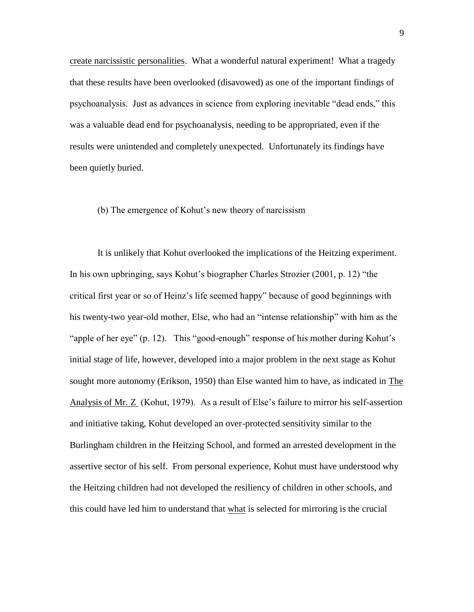create narcissistic personalities. What a wonderful natural experiment! What a tragedy that these results have been overlooked (disavowed) as one of the important findings of psychoanalysis. Just as advances in science from exploring inevitable "dead ends," this was a valuable dead end for psychoanalysis, needing to be appropriated, even if the results were unintended and completely unexpected. Unfortunately its findings have been quietly buried.

# (b) The emergence of Kohut's new theory of narcissism

It is unlikely that Kohut overlooked the implications of the Heitzing experiment. In his own upbringing, says Kohut's biographer Charles Strozier (2001, p. 12) "the critical first year or so of Heinz's life seemed happy" because of good beginnings with his twenty-two year-old mother, Else, who had an "intense relationship" with him as the "apple of her eye" (p. 12). This "good-enough" response of his mother during Kohut's initial stage of life, however, developed into a major problem in the next stage as Kohut sought more autonomy (Erikson, 1950) than Else wanted him to have, as indicated in The Analysis of Mr. Z (Kohut, 1979). As a result of Else's failure to mirror his self-assertion and initiative taking, Kohut developed an over-protected sensitivity similar to the Burlingham children in the Heitzing School, and formed an arrested development in the assertive sector of his self. From personal experience, Kohut must have understood why the Heitzing children had not developed the resiliency of children in other schools, and this could have led him to understand that what is selected for mirroring is the crucial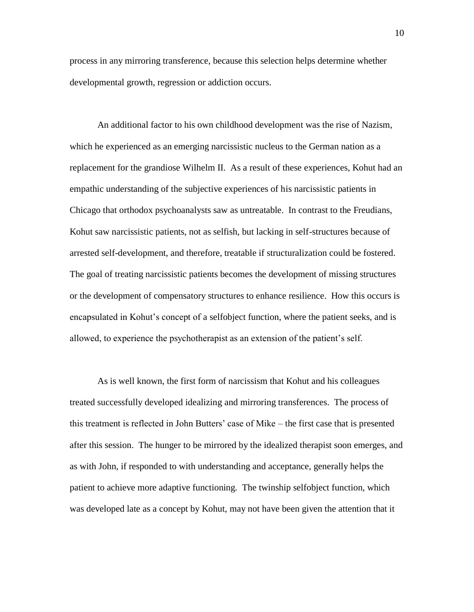process in any mirroring transference, because this selection helps determine whether developmental growth, regression or addiction occurs.

An additional factor to his own childhood development was the rise of Nazism, which he experienced as an emerging narcissistic nucleus to the German nation as a replacement for the grandiose Wilhelm II. As a result of these experiences, Kohut had an empathic understanding of the subjective experiences of his narcissistic patients in Chicago that orthodox psychoanalysts saw as untreatable. In contrast to the Freudians, Kohut saw narcissistic patients, not as selfish, but lacking in self-structures because of arrested self-development, and therefore, treatable if structuralization could be fostered. The goal of treating narcissistic patients becomes the development of missing structures or the development of compensatory structures to enhance resilience. How this occurs is encapsulated in Kohut's concept of a selfobject function, where the patient seeks, and is allowed, to experience the psychotherapist as an extension of the patient's self.

As is well known, the first form of narcissism that Kohut and his colleagues treated successfully developed idealizing and mirroring transferences. The process of this treatment is reflected in John Butters' case of Mike – the first case that is presented after this session. The hunger to be mirrored by the idealized therapist soon emerges, and as with John, if responded to with understanding and acceptance, generally helps the patient to achieve more adaptive functioning. The twinship selfobject function, which was developed late as a concept by Kohut, may not have been given the attention that it

10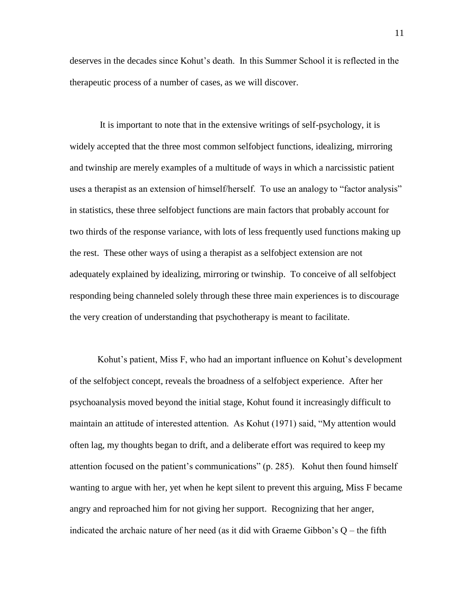deserves in the decades since Kohut's death. In this Summer School it is reflected in the therapeutic process of a number of cases, as we will discover.

It is important to note that in the extensive writings of self-psychology, it is widely accepted that the three most common selfobject functions, idealizing, mirroring and twinship are merely examples of a multitude of ways in which a narcissistic patient uses a therapist as an extension of himself/herself. To use an analogy to "factor analysis" in statistics, these three selfobject functions are main factors that probably account for two thirds of the response variance, with lots of less frequently used functions making up the rest. These other ways of using a therapist as a selfobject extension are not adequately explained by idealizing, mirroring or twinship. To conceive of all selfobject responding being channeled solely through these three main experiences is to discourage the very creation of understanding that psychotherapy is meant to facilitate.

Kohut's patient, Miss F, who had an important influence on Kohut's development of the selfobject concept, reveals the broadness of a selfobject experience. After her psychoanalysis moved beyond the initial stage, Kohut found it increasingly difficult to maintain an attitude of interested attention. As Kohut (1971) said, "My attention would often lag, my thoughts began to drift, and a deliberate effort was required to keep my attention focused on the patient's communications" (p. 285). Kohut then found himself wanting to argue with her, yet when he kept silent to prevent this arguing, Miss F became angry and reproached him for not giving her support. Recognizing that her anger, indicated the archaic nature of her need (as it did with Graeme Gibbon's  $Q$  – the fifth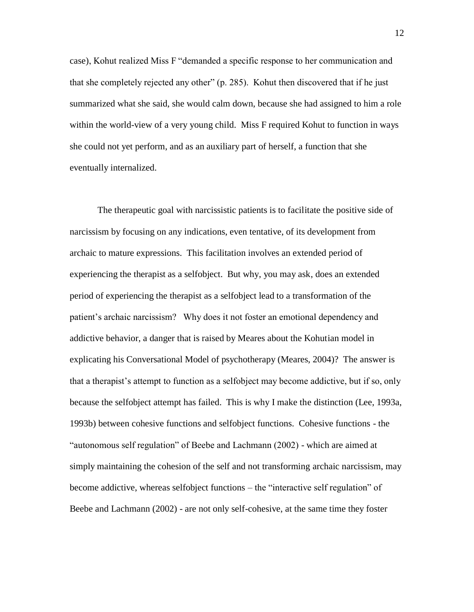case), Kohut realized Miss F "demanded a specific response to her communication and that she completely rejected any other" (p. 285). Kohut then discovered that if he just summarized what she said, she would calm down, because she had assigned to him a role within the world-view of a very young child. Miss F required Kohut to function in ways she could not yet perform, and as an auxiliary part of herself, a function that she eventually internalized.

The therapeutic goal with narcissistic patients is to facilitate the positive side of narcissism by focusing on any indications, even tentative, of its development from archaic to mature expressions. This facilitation involves an extended period of experiencing the therapist as a selfobject. But why, you may ask, does an extended period of experiencing the therapist as a selfobject lead to a transformation of the patient's archaic narcissism? Why does it not foster an emotional dependency and addictive behavior, a danger that is raised by Meares about the Kohutian model in explicating his Conversational Model of psychotherapy (Meares, 2004)? The answer is that a therapist's attempt to function as a selfobject may become addictive, but if so, only because the selfobject attempt has failed. This is why I make the distinction (Lee, 1993a, 1993b) between cohesive functions and selfobject functions. Cohesive functions - the "autonomous self regulation" of Beebe and Lachmann (2002) - which are aimed at simply maintaining the cohesion of the self and not transforming archaic narcissism, may become addictive, whereas selfobject functions – the "interactive self regulation" of Beebe and Lachmann (2002) - are not only self-cohesive, at the same time they foster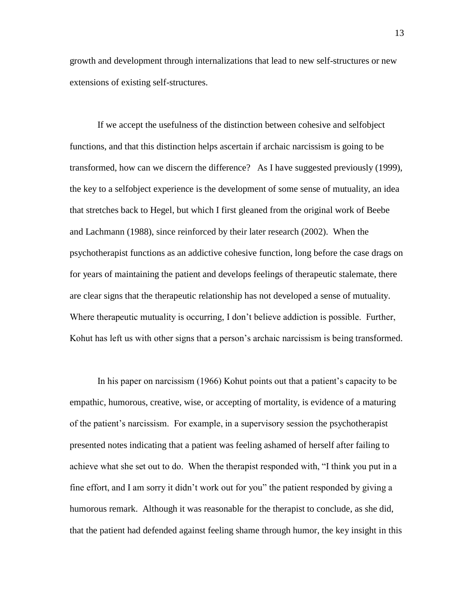growth and development through internalizations that lead to new self-structures or new extensions of existing self-structures.

If we accept the usefulness of the distinction between cohesive and selfobject functions, and that this distinction helps ascertain if archaic narcissism is going to be transformed, how can we discern the difference? As I have suggested previously (1999), the key to a selfobject experience is the development of some sense of mutuality, an idea that stretches back to Hegel, but which I first gleaned from the original work of Beebe and Lachmann (1988), since reinforced by their later research (2002). When the psychotherapist functions as an addictive cohesive function, long before the case drags on for years of maintaining the patient and develops feelings of therapeutic stalemate, there are clear signs that the therapeutic relationship has not developed a sense of mutuality. Where therapeutic mutuality is occurring, I don't believe addiction is possible. Further, Kohut has left us with other signs that a person's archaic narcissism is being transformed.

In his paper on narcissism (1966) Kohut points out that a patient's capacity to be empathic, humorous, creative, wise, or accepting of mortality, is evidence of a maturing of the patient's narcissism. For example, in a supervisory session the psychotherapist presented notes indicating that a patient was feeling ashamed of herself after failing to achieve what she set out to do. When the therapist responded with, "I think you put in a fine effort, and I am sorry it didn't work out for you" the patient responded by giving a humorous remark. Although it was reasonable for the therapist to conclude, as she did, that the patient had defended against feeling shame through humor, the key insight in this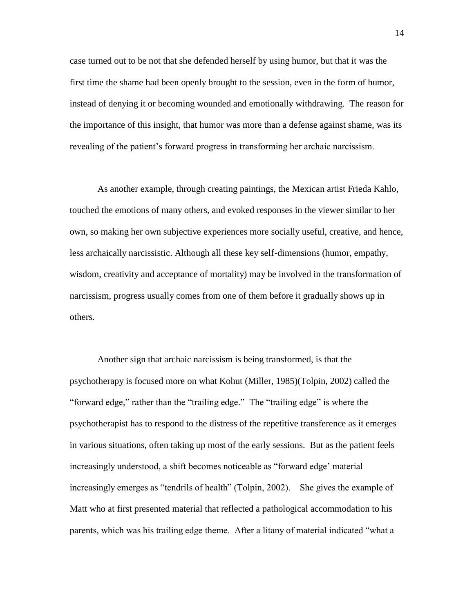case turned out to be not that she defended herself by using humor, but that it was the first time the shame had been openly brought to the session, even in the form of humor, instead of denying it or becoming wounded and emotionally withdrawing. The reason for the importance of this insight, that humor was more than a defense against shame, was its revealing of the patient's forward progress in transforming her archaic narcissism.

As another example, through creating paintings, the Mexican artist Frieda Kahlo, touched the emotions of many others, and evoked responses in the viewer similar to her own, so making her own subjective experiences more socially useful, creative, and hence, less archaically narcissistic. Although all these key self-dimensions (humor, empathy, wisdom, creativity and acceptance of mortality) may be involved in the transformation of narcissism, progress usually comes from one of them before it gradually shows up in others.

Another sign that archaic narcissism is being transformed, is that the psychotherapy is focused more on what Kohut (Miller, 1985)(Tolpin, 2002) called the "forward edge," rather than the "trailing edge." The "trailing edge" is where the psychotherapist has to respond to the distress of the repetitive transference as it emerges in various situations, often taking up most of the early sessions. But as the patient feels increasingly understood, a shift becomes noticeable as "forward edge' material increasingly emerges as "tendrils of health" (Tolpin, 2002). She gives the example of Matt who at first presented material that reflected a pathological accommodation to his parents, which was his trailing edge theme. After a litany of material indicated "what a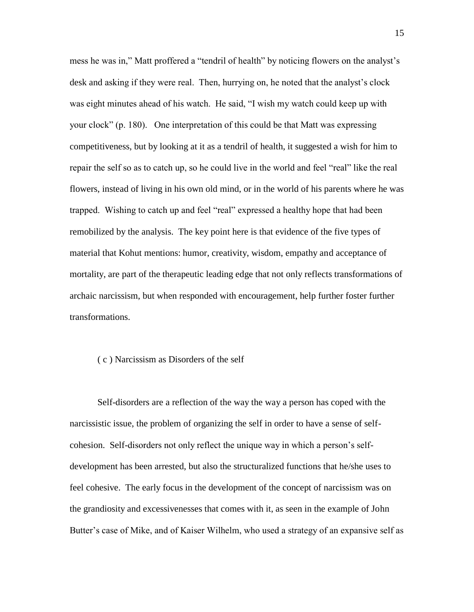mess he was in," Matt proffered a "tendril of health" by noticing flowers on the analyst's desk and asking if they were real. Then, hurrying on, he noted that the analyst's clock was eight minutes ahead of his watch. He said, "I wish my watch could keep up with your clock" (p. 180). One interpretation of this could be that Matt was expressing competitiveness, but by looking at it as a tendril of health, it suggested a wish for him to repair the self so as to catch up, so he could live in the world and feel "real" like the real flowers, instead of living in his own old mind, or in the world of his parents where he was trapped. Wishing to catch up and feel "real" expressed a healthy hope that had been remobilized by the analysis. The key point here is that evidence of the five types of material that Kohut mentions: humor, creativity, wisdom, empathy and acceptance of mortality, are part of the therapeutic leading edge that not only reflects transformations of archaic narcissism, but when responded with encouragement, help further foster further transformations.

### ( c ) Narcissism as Disorders of the self

Self-disorders are a reflection of the way the way a person has coped with the narcissistic issue, the problem of organizing the self in order to have a sense of selfcohesion. Self-disorders not only reflect the unique way in which a person's selfdevelopment has been arrested, but also the structuralized functions that he/she uses to feel cohesive. The early focus in the development of the concept of narcissism was on the grandiosity and excessivenesses that comes with it, as seen in the example of John Butter's case of Mike, and of Kaiser Wilhelm, who used a strategy of an expansive self as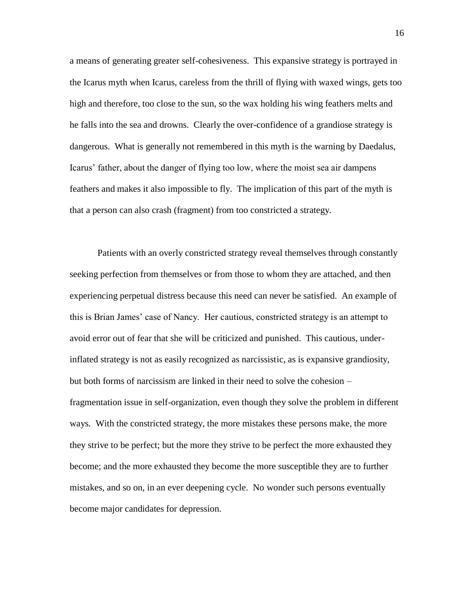a means of generating greater self-cohesiveness. This expansive strategy is portrayed in the Icarus myth when Icarus, careless from the thrill of flying with waxed wings, gets too high and therefore, too close to the sun, so the wax holding his wing feathers melts and he falls into the sea and drowns. Clearly the over-confidence of a grandiose strategy is dangerous. What is generally not remembered in this myth is the warning by Daedalus, Icarus' father, about the danger of flying too low, where the moist sea air dampens feathers and makes it also impossible to fly. The implication of this part of the myth is that a person can also crash (fragment) from too constricted a strategy.

Patients with an overly constricted strategy reveal themselves through constantly seeking perfection from themselves or from those to whom they are attached, and then experiencing perpetual distress because this need can never be satisfied. An example of this is Brian James' case of Nancy. Her cautious, constricted strategy is an attempt to avoid error out of fear that she will be criticized and punished. This cautious, underinflated strategy is not as easily recognized as narcissistic, as is expansive grandiosity, but both forms of narcissism are linked in their need to solve the cohesion – fragmentation issue in self-organization, even though they solve the problem in different ways. With the constricted strategy, the more mistakes these persons make, the more they strive to be perfect; but the more they strive to be perfect the more exhausted they become; and the more exhausted they become the more susceptible they are to further mistakes, and so on, in an ever deepening cycle. No wonder such persons eventually become major candidates for depression.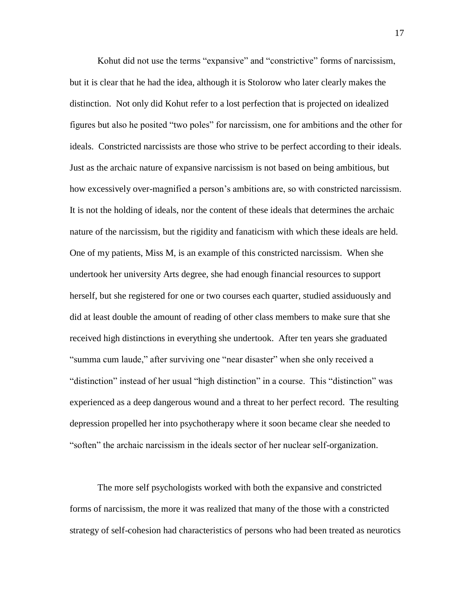Kohut did not use the terms "expansive" and "constrictive" forms of narcissism, but it is clear that he had the idea, although it is Stolorow who later clearly makes the distinction. Not only did Kohut refer to a lost perfection that is projected on idealized figures but also he posited "two poles" for narcissism, one for ambitions and the other for ideals. Constricted narcissists are those who strive to be perfect according to their ideals. Just as the archaic nature of expansive narcissism is not based on being ambitious, but how excessively over-magnified a person's ambitions are, so with constricted narcissism. It is not the holding of ideals, nor the content of these ideals that determines the archaic nature of the narcissism, but the rigidity and fanaticism with which these ideals are held. One of my patients, Miss M, is an example of this constricted narcissism. When she undertook her university Arts degree, she had enough financial resources to support herself, but she registered for one or two courses each quarter, studied assiduously and did at least double the amount of reading of other class members to make sure that she received high distinctions in everything she undertook. After ten years she graduated "summa cum laude," after surviving one "near disaster" when she only received a "distinction" instead of her usual "high distinction" in a course. This "distinction" was experienced as a deep dangerous wound and a threat to her perfect record. The resulting depression propelled her into psychotherapy where it soon became clear she needed to "soften" the archaic narcissism in the ideals sector of her nuclear self-organization.

The more self psychologists worked with both the expansive and constricted forms of narcissism, the more it was realized that many of the those with a constricted strategy of self-cohesion had characteristics of persons who had been treated as neurotics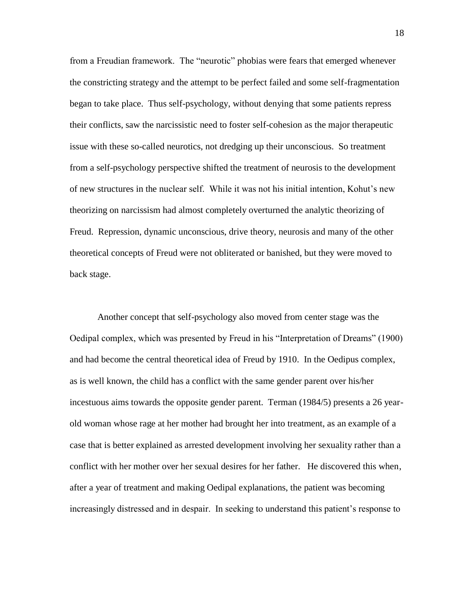from a Freudian framework. The "neurotic" phobias were fears that emerged whenever the constricting strategy and the attempt to be perfect failed and some self-fragmentation began to take place. Thus self-psychology, without denying that some patients repress their conflicts, saw the narcissistic need to foster self-cohesion as the major therapeutic issue with these so-called neurotics, not dredging up their unconscious. So treatment from a self-psychology perspective shifted the treatment of neurosis to the development of new structures in the nuclear self. While it was not his initial intention, Kohut's new theorizing on narcissism had almost completely overturned the analytic theorizing of Freud. Repression, dynamic unconscious, drive theory, neurosis and many of the other theoretical concepts of Freud were not obliterated or banished, but they were moved to back stage.

Another concept that self-psychology also moved from center stage was the Oedipal complex, which was presented by Freud in his "Interpretation of Dreams" (1900) and had become the central theoretical idea of Freud by 1910. In the Oedipus complex, as is well known, the child has a conflict with the same gender parent over his/her incestuous aims towards the opposite gender parent. Terman (1984/5) presents a 26 yearold woman whose rage at her mother had brought her into treatment, as an example of a case that is better explained as arrested development involving her sexuality rather than a conflict with her mother over her sexual desires for her father. He discovered this when, after a year of treatment and making Oedipal explanations, the patient was becoming increasingly distressed and in despair. In seeking to understand this patient's response to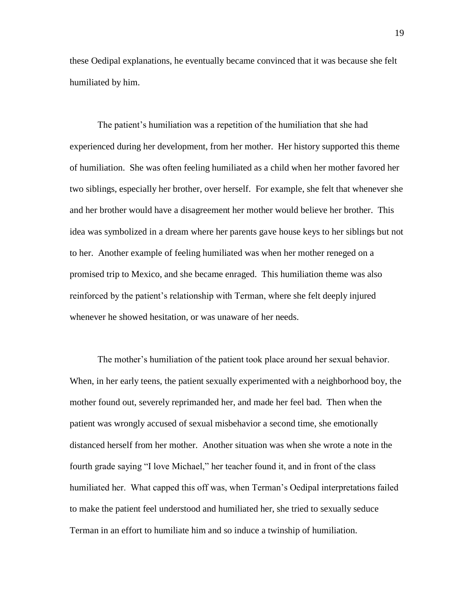these Oedipal explanations, he eventually became convinced that it was because she felt humiliated by him.

The patient's humiliation was a repetition of the humiliation that she had experienced during her development, from her mother. Her history supported this theme of humiliation. She was often feeling humiliated as a child when her mother favored her two siblings, especially her brother, over herself. For example, she felt that whenever she and her brother would have a disagreement her mother would believe her brother. This idea was symbolized in a dream where her parents gave house keys to her siblings but not to her. Another example of feeling humiliated was when her mother reneged on a promised trip to Mexico, and she became enraged. This humiliation theme was also reinforced by the patient's relationship with Terman, where she felt deeply injured whenever he showed hesitation, or was unaware of her needs.

The mother's humiliation of the patient took place around her sexual behavior. When, in her early teens, the patient sexually experimented with a neighborhood boy, the mother found out, severely reprimanded her, and made her feel bad. Then when the patient was wrongly accused of sexual misbehavior a second time, she emotionally distanced herself from her mother. Another situation was when she wrote a note in the fourth grade saying "I love Michael," her teacher found it, and in front of the class humiliated her. What capped this off was, when Terman's Oedipal interpretations failed to make the patient feel understood and humiliated her, she tried to sexually seduce Terman in an effort to humiliate him and so induce a twinship of humiliation.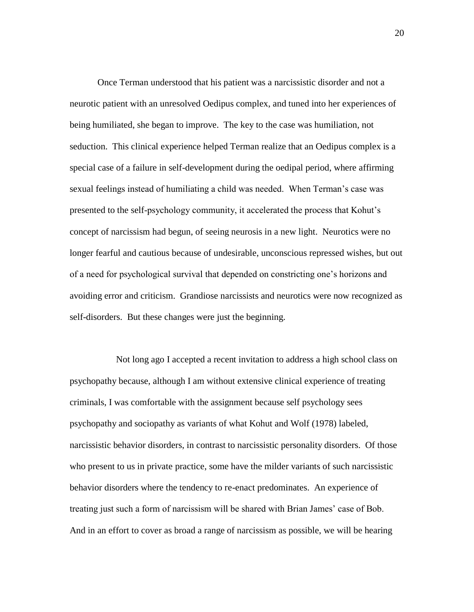Once Terman understood that his patient was a narcissistic disorder and not a neurotic patient with an unresolved Oedipus complex, and tuned into her experiences of being humiliated, she began to improve. The key to the case was humiliation, not seduction. This clinical experience helped Terman realize that an Oedipus complex is a special case of a failure in self-development during the oedipal period, where affirming sexual feelings instead of humiliating a child was needed. When Terman's case was presented to the self-psychology community, it accelerated the process that Kohut's concept of narcissism had begun, of seeing neurosis in a new light. Neurotics were no longer fearful and cautious because of undesirable, unconscious repressed wishes, but out of a need for psychological survival that depended on constricting one's horizons and avoiding error and criticism. Grandiose narcissists and neurotics were now recognized as self-disorders. But these changes were just the beginning.

 Not long ago I accepted a recent invitation to address a high school class on psychopathy because, although I am without extensive clinical experience of treating criminals, I was comfortable with the assignment because self psychology sees psychopathy and sociopathy as variants of what Kohut and Wolf (1978) labeled, narcissistic behavior disorders, in contrast to narcissistic personality disorders. Of those who present to us in private practice, some have the milder variants of such narcissistic behavior disorders where the tendency to re-enact predominates. An experience of treating just such a form of narcissism will be shared with Brian James' case of Bob. And in an effort to cover as broad a range of narcissism as possible, we will be hearing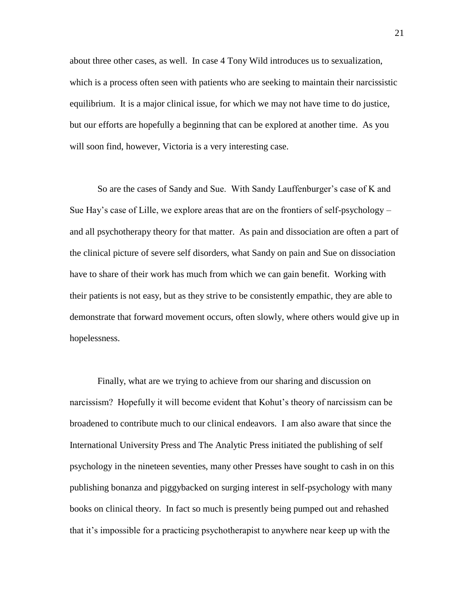about three other cases, as well. In case 4 Tony Wild introduces us to sexualization, which is a process often seen with patients who are seeking to maintain their narcissistic equilibrium. It is a major clinical issue, for which we may not have time to do justice, but our efforts are hopefully a beginning that can be explored at another time. As you will soon find, however, Victoria is a very interesting case.

So are the cases of Sandy and Sue. With Sandy Lauffenburger's case of K and Sue Hay's case of Lille, we explore areas that are on the frontiers of self-psychology – and all psychotherapy theory for that matter. As pain and dissociation are often a part of the clinical picture of severe self disorders, what Sandy on pain and Sue on dissociation have to share of their work has much from which we can gain benefit. Working with their patients is not easy, but as they strive to be consistently empathic, they are able to demonstrate that forward movement occurs, often slowly, where others would give up in hopelessness.

Finally, what are we trying to achieve from our sharing and discussion on narcissism? Hopefully it will become evident that Kohut's theory of narcissism can be broadened to contribute much to our clinical endeavors. I am also aware that since the International University Press and The Analytic Press initiated the publishing of self psychology in the nineteen seventies, many other Presses have sought to cash in on this publishing bonanza and piggybacked on surging interest in self-psychology with many books on clinical theory. In fact so much is presently being pumped out and rehashed that it's impossible for a practicing psychotherapist to anywhere near keep up with the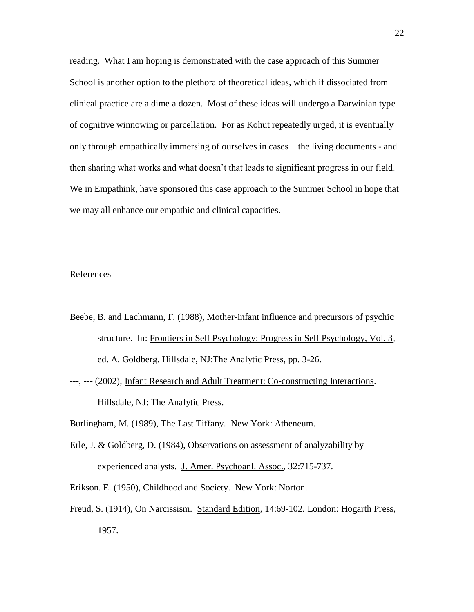reading. What I am hoping is demonstrated with the case approach of this Summer School is another option to the plethora of theoretical ideas, which if dissociated from clinical practice are a dime a dozen. Most of these ideas will undergo a Darwinian type of cognitive winnowing or parcellation. For as Kohut repeatedly urged, it is eventually only through empathically immersing of ourselves in cases – the living documents - and then sharing what works and what doesn't that leads to significant progress in our field. We in Empathink, have sponsored this case approach to the Summer School in hope that we may all enhance our empathic and clinical capacities.

### References

- Beebe, B. and Lachmann, F. (1988), Mother-infant influence and precursors of psychic structure. In: Frontiers in Self Psychology: Progress in Self Psychology, Vol. 3, ed. A. Goldberg. Hillsdale, NJ:The Analytic Press, pp. 3-26.
- ---, --- (2002), Infant Research and Adult Treatment: Co-constructing Interactions. Hillsdale, NJ: The Analytic Press.

Burlingham, M. (1989), The Last Tiffany. New York: Atheneum.

- Erle, J. & Goldberg, D. (1984), Observations on assessment of analyzability by experienced analysts. J. Amer. Psychoanl. Assoc., 32:715-737.
- Erikson. E. (1950), Childhood and Society. New York: Norton.
- Freud, S. (1914), On Narcissism. Standard Edition, 14:69-102. London: Hogarth Press, 1957.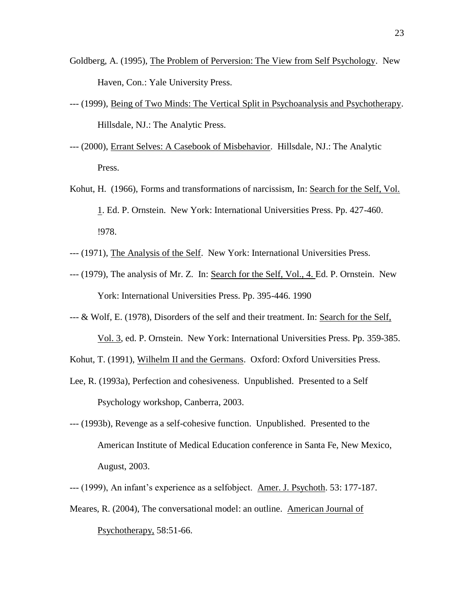- Goldberg, A. (1995), The Problem of Perversion: The View from Self Psychology. New Haven, Con.: Yale University Press.
- --- (1999), Being of Two Minds: The Vertical Split in Psychoanalysis and Psychotherapy. Hillsdale, NJ.: The Analytic Press.
- --- (2000), Errant Selves: A Casebook of Misbehavior. Hillsdale, NJ.: The Analytic Press.
- Kohut, H. (1966), Forms and transformations of narcissism, In: Search for the Self, Vol. 1. Ed. P. Ornstein. New York: International Universities Press. Pp. 427-460. !978.
- --- (1971), The Analysis of the Self. New York: International Universities Press.
- --- (1979), The analysis of Mr. Z. In: Search for the Self, Vol., 4. Ed. P. Ornstein. New York: International Universities Press. Pp. 395-446. 1990
- --- & Wolf, E. (1978), Disorders of the self and their treatment. In: Search for the Self,

Vol. 3, ed. P. Ornstein. New York: International Universities Press. Pp. 359-385.

- Kohut, T. (1991), Wilhelm II and the Germans. Oxford: Oxford Universities Press.
- Lee, R. (1993a), Perfection and cohesiveness. Unpublished. Presented to a Self Psychology workshop, Canberra, 2003.
- --- (1993b), Revenge as a self-cohesive function. Unpublished. Presented to the American Institute of Medical Education conference in Santa Fe, New Mexico, August, 2003.

--- (1999), An infant's experience as a selfobject. Amer. J. Psychoth. 53: 177-187.

Meares, R. (2004), The conversational model: an outline. American Journal of Psychotherapy, 58:51-66.